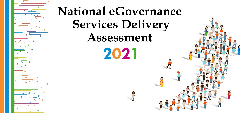

# **National eGovernance Services Delivery Assessment 2021**

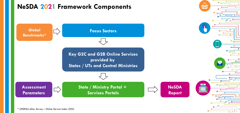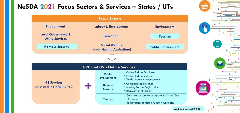





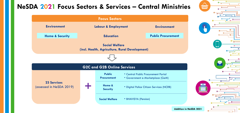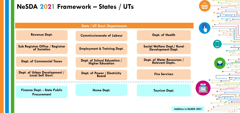



## **NeSDA 2021 Framework – States / UTs**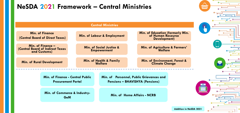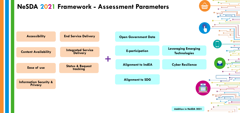